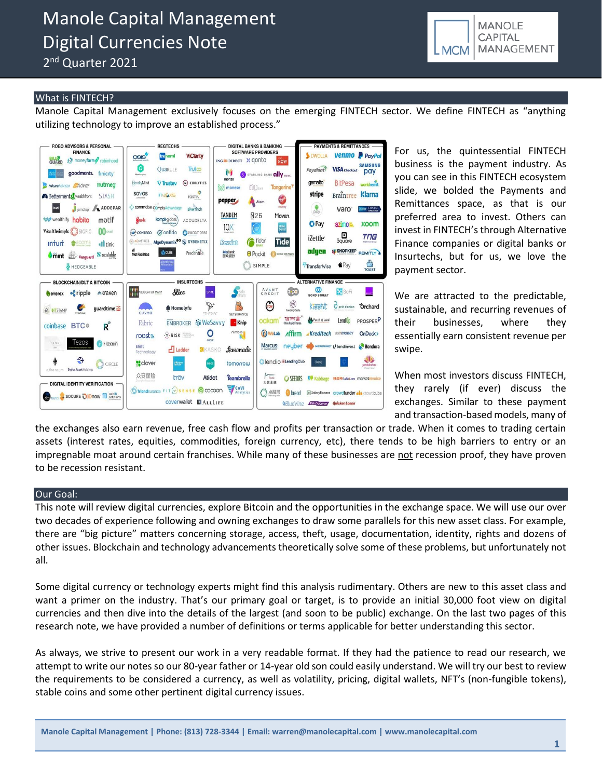# Manole Capital Management Digital Currencies Note

2<sup>nd</sup> Quarter 2021



### What is FINTECH?

Manole Capital Management exclusively focuses on the emerging FINTECH sector. We define FINTECH as "anything utilizing technology to improve an established process."



For us, the quintessential FINTECH business is the payment industry. As you can see in this FINTECH ecosystem slide, we bolded the Payments and Remittances space, as that is our preferred area to invest. Others can invest in FINTECH's through Alternative Finance companies or digital banks or Insurtechs, but for us, we love the payment sector.

We are attracted to the predictable, sustainable, and recurring revenues of their businesses, where they essentially earn consistent revenue per swipe.

When most investors discuss FINTECH, they rarely (if ever) discuss the exchanges. Similar to these payment and transaction-based models, many of

the exchanges also earn revenue, free cash flow and profits per transaction or trade. When it comes to trading certain assets (interest rates, equities, commodities, foreign currency, etc), there tends to be high barriers to entry or an impregnable moat around certain franchises. While many of these businesses are not recession proof, they have proven to be recession resistant.

#### Our Goal:

This note will review digital currencies, explore Bitcoin and the opportunities in the exchange space. We will use our over two decades of experience following and owning exchanges to draw some parallels for this new asset class. For example, there are "big picture" matters concerning storage, access, theft, usage, documentation, identity, rights and dozens of other issues. Blockchain and technology advancements theoretically solve some of these problems, but unfortunately not all.

Some digital currency or technology experts might find this analysis rudimentary. Others are new to this asset class and want a primer on the industry. That's our primary goal or target, is to provide an initial 30,000 foot view on digital currencies and then dive into the details of the largest (and soon to be public) exchange. On the last two pages of this research note, we have provided a number of definitions or terms applicable for better understanding this sector.

As always, we strive to present our work in a very readable format. If they had the patience to read our research, we attempt to write our notes so our 80-year father or 14-year old son could easily understand. We will try our best to review the requirements to be considered a currency, as well as volatility, pricing, digital wallets, NFT's (non-fungible tokens), stable coins and some other pertinent digital currency issues.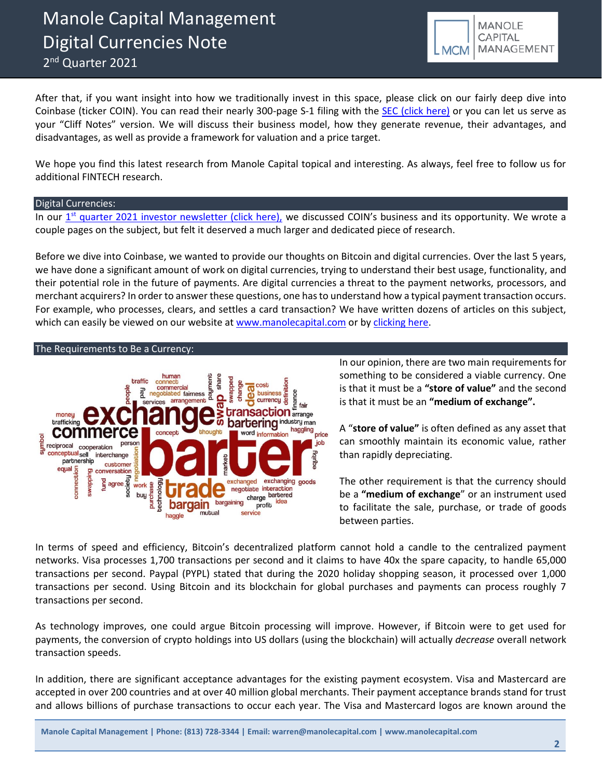

After that, if you want insight into how we traditionally invest in this space, please click on our fairly deep dive into Coinbase (ticker COIN). You can read their nearly 300-page S-1 filing with the [SEC \(click here\)](https://www.sec.gov/Archives/edgar/data/1679788/000162828021003168/coinbaseglobalincs-1.htm) or you can let us serve as your "Cliff Notes" version. We will discuss their business model, how they generate revenue, their advantages, and disadvantages, as well as provide a framework for valuation and a price target.

We hope you find this latest research from Manole Capital topical and interesting. As always, feel free to follow us for additional FINTECH research.

### Digital Currencies:

In our <u>1<sup>st</sup> [quarter 2021 investor newsletter \(click here\),](https://b9f3c509-36e7-4c54-97bf-174f29a2aa48.filesusr.com/ugd/43315f_d116b19ee84c4fa999574f0f48c2efb6.pdf)</u> we discussed COIN's business and its opportunity. We wrote a couple pages on the subject, but felt it deserved a much larger and dedicated piece of research.

Before we dive into Coinbase, we wanted to provide our thoughts on Bitcoin and digital currencies. Over the last 5 years, we have done a significant amount of work on digital currencies, trying to understand their best usage, functionality, and their potential role in the future of payments. Are digital currencies a threat to the payment networks, processors, and merchant acquirers? In order to answer these questions, one has to understand how a typical payment transaction occurs. For example, who processes, clears, and settles a card transaction? We have written dozens of articles on this subject, which can easily be viewed on our website at [www.manolecapital.com](http://www.manolecapital.com/) or b[y clicking](http://www.manolecapital.com/research) here.

#### The Requirements to Be a Currency:



In our opinion, there are two main requirements for something to be considered a viable currency. One is that it must be a **"store of value"** and the second is that it must be an **"medium of exchange".**

A "**store of value"** is often defined as any asset that can smoothly maintain its economic value, rather than rapidly depreciating.

The other requirement is that the currency should be a **"medium of exchange**" or an instrument used to facilitate the sale, purchase, or trade of goods between parties.

In terms of speed and efficiency, Bitcoin's decentralized platform cannot hold a candle to the centralized payment networks. Visa processes 1,700 transactions per second and it claims to have 40x the spare capacity, to handle 65,000 transactions per second. Paypal (PYPL) stated that during the 2020 holiday shopping season, it processed over 1,000 transactions per second. Using Bitcoin and its blockchain for global purchases and payments can process roughly 7 transactions per second.

As technology improves, one could argue Bitcoin processing will improve. However, if Bitcoin were to get used for payments, the conversion of crypto holdings into US dollars (using the blockchain) will actually *decrease* overall network transaction speeds.

In addition, there are significant acceptance advantages for the existing payment ecosystem. Visa and Mastercard are accepted in over 200 countries and at over 40 million global merchants. Their payment acceptance brands stand for trust and allows billions of purchase transactions to occur each year. The Visa and Mastercard logos are known around the

**Manole Capital Management | Phone: (813) 728-3344 | Email: warren@manolecapital.com | www.manolecapital.com**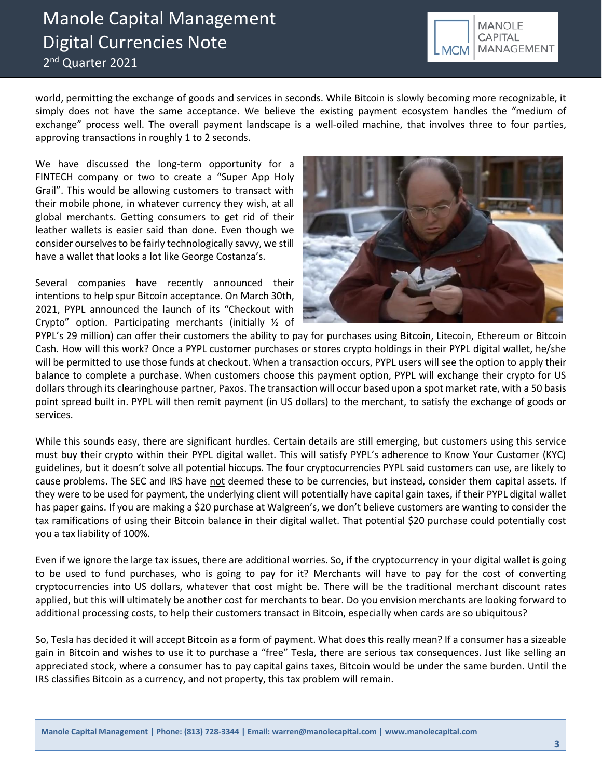# Manole Capital Management Digital Currencies Note 2<sup>nd</sup> Quarter 2021



world, permitting the exchange of goods and services in seconds. While Bitcoin is slowly becoming more recognizable, it simply does not have the same acceptance. We believe the existing payment ecosystem handles the "medium of exchange" process well. The overall payment landscape is a well-oiled machine, that involves three to four parties, approving transactions in roughly 1 to 2 seconds.

We have discussed the long-term opportunity for a FINTECH company or two to create a "Super App Holy Grail". This would be allowing customers to transact with their mobile phone, in whatever currency they wish, at all global merchants. Getting consumers to get rid of their leather wallets is easier said than done. Even though we consider ourselves to be fairly technologically savvy, we still have a wallet that looks a lot like George Costanza's.

Several companies have recently announced their intentions to help spur Bitcoin acceptance. On March 30th, 2021, PYPL announced the launch of its "Checkout with Crypto" option. Participating merchants (initially ½ of



PYPL's 29 million) can offer their customers the ability to pay for purchases using Bitcoin, Litecoin, Ethereum or Bitcoin Cash. How will this work? Once a PYPL customer purchases or stores crypto holdings in their PYPL digital wallet, he/she will be permitted to use those funds at checkout. When a transaction occurs, PYPL users will see the option to apply their balance to complete a purchase. When customers choose this payment option, PYPL will exchange their crypto for US dollars through its clearinghouse partner, Paxos. The transaction will occur based upon a spot market rate, with a 50 basis point spread built in. PYPL will then remit payment (in US dollars) to the merchant, to satisfy the exchange of goods or services.

While this sounds easy, there are significant hurdles. Certain details are still emerging, but customers using this service must buy their crypto within their PYPL digital wallet. This will satisfy PYPL's adherence to Know Your Customer (KYC) guidelines, but it doesn't solve all potential hiccups. The four cryptocurrencies PYPL said customers can use, are likely to cause problems. The SEC and IRS have not deemed these to be currencies, but instead, consider them capital assets. If they were to be used for payment, the underlying client will potentially have capital gain taxes, if their PYPL digital wallet has paper gains. If you are making a \$20 purchase at Walgreen's, we don't believe customers are wanting to consider the tax ramifications of using their Bitcoin balance in their digital wallet. That potential \$20 purchase could potentially cost you a tax liability of 100%.

Even if we ignore the large tax issues, there are additional worries. So, if the cryptocurrency in your digital wallet is going to be used to fund purchases, who is going to pay for it? Merchants will have to pay for the cost of converting cryptocurrencies into US dollars, whatever that cost might be. There will be the traditional merchant discount rates applied, but this will ultimately be another cost for merchants to bear. Do you envision merchants are looking forward to additional processing costs, to help their customers transact in Bitcoin, especially when cards are so ubiquitous?

So, [Tesla](https://markets.businessinsider.com/stocks/tsla-stock?utm_source=markets&utm_medium=ingest) has decided it will accept Bitcoin as a form of payment. What does this really mean? If a consumer has a sizeable gain in Bitcoin and wishes to use it to purchase a "free" Tesla, there are serious tax consequences. Just like selling an appreciated stock, where a consumer has to pay capital gains taxes, Bitcoin would be under the same burden. Until the IRS classifies Bitcoin as a currency, and not property, this tax problem will remain.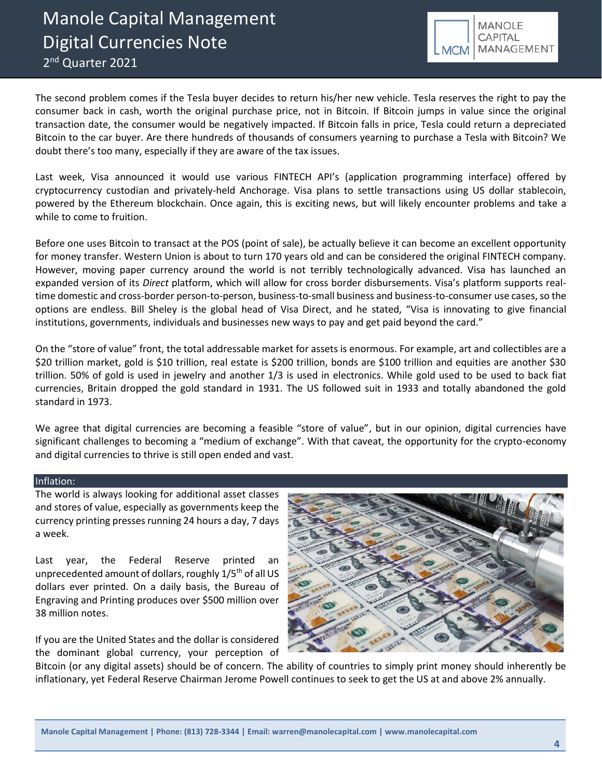

The second problem comes if the Tesla buyer decides to return his/her new vehicle. Tesla reserves the right to pay the consumer back in cash, worth the original purchase price, not in Bitcoin. If Bitcoin jumps in value since the original transaction date, the consumer would be negatively impacted. If Bitcoin falls in price, Tesla could return a depreciated Bitcoin to the car buyer. Are there hundreds of thousands of consumers yearning to purchase a Tesla with Bitcoin? We doubt there's too many, especially if they are aware of the tax issues.

Last week, Visa announced it would use various FINTECH API's (application programming interface) offered by cryptocurrency custodian and privately-held Anchorage. Visa plans to settle transactions using US dollar stablecoin, powered by the Ethereum blockchain. Once again, this is exciting news, but will likely encounter problems and take a while to come to fruition.

Before one uses Bitcoin to transact at the POS (point of sale), be actually believe it can become an excellent opportunity for money transfer. Western Union is about to turn 170 years old and can be considered the original FINTECH company. However, moving paper currency around the world is not terribly technologically advanced. Visa has launched an expanded version of its *Direct* platform, which will allow for cross border disbursements. Visa's platform supports realtime domestic and cross-border person-to-person, business-to-small business and business-to-consumer use cases, so the options are endless. Bill Sheley is the global head of Visa Direct, and he stated, "Visa is innovating to give financial institutions, governments, individuals and businesses new ways to pay and get paid beyond the card."

On the "store of value" front, the total addressable market for assets is enormous. For example, art and collectibles are a \$20 trillion market, gold is \$10 trillion, real estate is \$200 trillion, bonds are \$100 trillion and equities are another \$30 trillion. 50% of gold is used in jewelry and another 1/3 is used in electronics. While gold used to be used to back fiat currencies, Britain dropped the gold standard in 1931. The US followed suit in 1933 and totally abandoned the gold standard in 1973.

We agree that digital currencies are becoming a feasible "store of value", but in our opinion, digital currencies have significant challenges to becoming a "medium of exchange". With that caveat, the opportunity for the crypto-economy and digital currencies to thrive is still open ended and vast.

## Inflation:

The world is always looking for additional asset classes and stores of value, especially as governments keep the currency printing presses running 24 hours a day, 7 days a week.

Last year, the Federal Reserve printed an unprecedented amount of dollars, roughly 1/5<sup>th</sup> of all US dollars ever printed. On a daily basis, the Bureau of Engraving and Printing produces over \$500 million over 38 million notes.

If you are the United States and the dollar is considered the dominant global currency, your perception of



Bitcoin (or any digital assets) should be of concern. The ability of countries to simply print money should inherently be inflationary, yet Federal Reserve Chairman Jerome Powell continues to seek to get the US at and above 2% annually.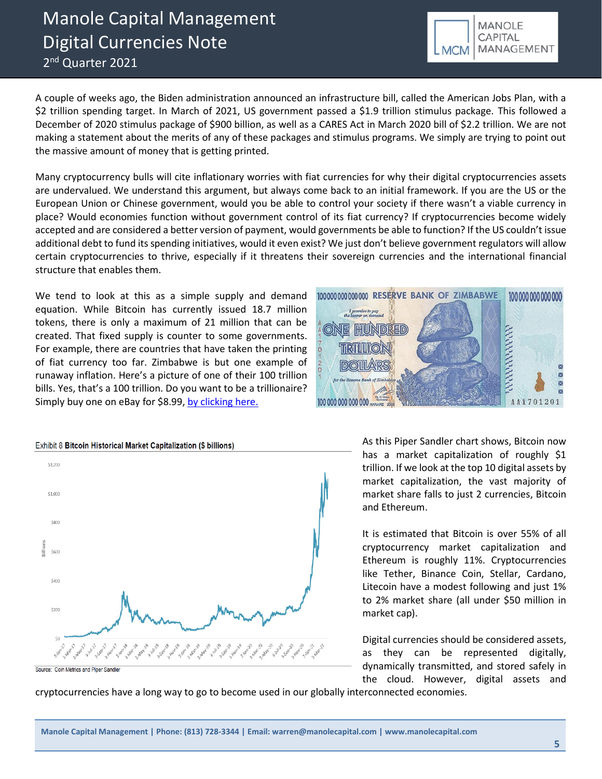# Manole Capital Management Digital Currencies Note 2<sup>nd</sup> Quarter 2021

A couple of weeks ago, the Biden administration announced an infrastructure bill, called the American Jobs Plan, with a \$2 trillion spending target. In March of 2021, US government passed a \$1.9 trillion stimulus package. This followed a December of 2020 stimulus package of \$900 billion, as well as a CARES Act in March 2020 bill of \$2.2 trillion. We are not making a statement about the merits of any of these packages and stimulus programs. We simply are trying to point out the massive amount of money that is getting printed.

Many cryptocurrency bulls will cite inflationary worries with fiat currencies for why their digital cryptocurrencies assets are undervalued. We understand this argument, but always come back to an initial framework. If you are the US or the European Union or Chinese government, would you be able to control your society if there wasn't a viable currency in place? Would economies function without government control of its fiat currency? If cryptocurrencies become widely accepted and are considered a better version of payment, would governments be able to function? If the US couldn't issue additional debt to fund its spending initiatives, would it even exist? We just don't believe government regulators will allow certain cryptocurrencies to thrive, especially if it threatens their sovereign currencies and the international financial structure that enables them.

We tend to look at this as a simple supply and demand equation. While Bitcoin has currently issued 18.7 million tokens, there is only a maximum of 21 million that can be created. That fixed supply is counter to some governments. For example, there are countries that have taken the printing of fiat currency too far. Zimbabwe is but one example of runaway inflation. Here's a picture of one of their 100 trillion bills. Yes, that's a 100 trillion. Do you want to be a trillionaire? Simply buy one on eBay for \$8.99, [by clicking here.](https://www.ebay.com/itm/154373247701?chn=ps&norover=1&mkevt=1&mkrid=711-117182-37290-0&mkcid=2&itemid=154373247701&targetid=1068323861950&device=c&mktype=pla&googleloc=9012098&poi=&campaignid=12589944623&mkgroupid=121185198673&rlsatarget=pla-1068323861950&abcId=9300523&merchantid=110845097&gclid=Cj0KCQjw38-DBhDpARIsADJ3kjk2PTvt1tuU75W88kAHFxA8LLHqtwC5g5BShBws-9nrjguuS6wuUUoaAhJaEALw_wcB)



100 000 000 000 000  $\Lambda$ 

1000000000000000 RESERVE BANK OF ZIMBABWE

I promise to pay<br>the bearer on dema

ONE

As this Piper Sandler chart shows, Bitcoin now has a market capitalization of roughly \$1 trillion. If we look at the top 10 digital assets by market capitalization, the vast majority of market share falls to just 2 currencies, Bitcoin and Ethereum.

It is estimated that Bitcoin is over 55% of all cryptocurrency market capitalization and Ethereum is roughly 11%. Cryptocurrencies like Tether, Binance Coin, Stellar, Cardano, Litecoin have a modest following and just 1% to 2% market share (all under \$50 million in market cap).

Digital currencies should be considered assets, as they can be represented digitally, dynamically transmitted, and stored safely in the cloud. However, digital assets and

cryptocurrencies have a long way to go to become used in our globally interconnected economies.



100 000 000 000 000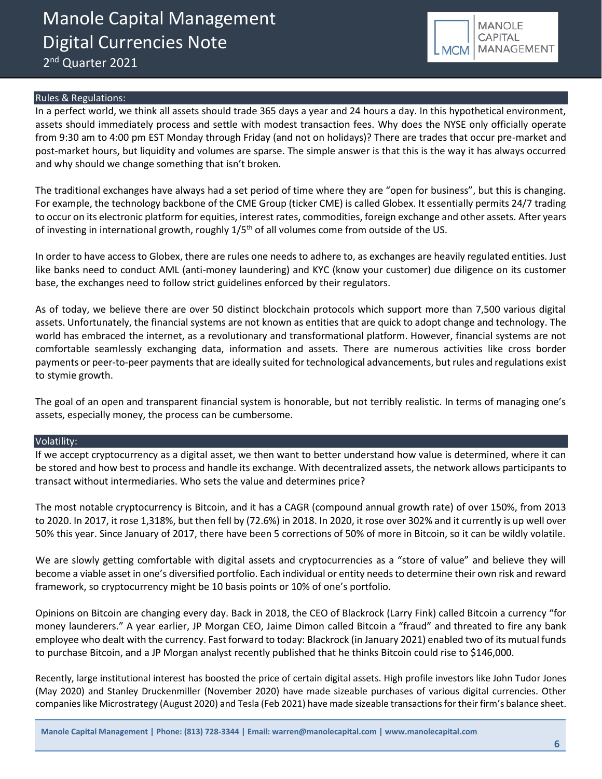

#### Rules & Regulations:

In a perfect world, we think all assets should trade 365 days a year and 24 hours a day. In this hypothetical environment, assets should immediately process and settle with modest transaction fees. Why does the NYSE only officially operate from 9:30 am to 4:00 pm EST Monday through Friday (and not on holidays)? There are trades that occur pre-market and post-market hours, but liquidity and volumes are sparse. The simple answer is that this is the way it has always occurred and why should we change something that isn't broken.

The traditional exchanges have always had a set period of time where they are "open for business", but this is changing. For example, the technology backbone of the CME Group (ticker CME) is called Globex. It essentially permits 24/7 trading to occur on its electronic platform for equities, interest rates, commodities, foreign exchange and other assets. After years of investing in international growth, roughly  $1/5<sup>th</sup>$  of all volumes come from outside of the US.

In order to have access to Globex, there are rules one needs to adhere to, as exchanges are heavily regulated entities. Just like banks need to conduct AML (anti-money laundering) and KYC (know your customer) due diligence on its customer base, the exchanges need to follow strict guidelines enforced by their regulators.

As of today, we believe there are over 50 distinct blockchain protocols which support more than 7,500 various digital assets. Unfortunately, the financial systems are not known as entities that are quick to adopt change and technology. The world has embraced the internet, as a revolutionary and transformational platform. However, financial systems are not comfortable seamlessly exchanging data, information and assets. There are numerous activities like cross border payments or peer-to-peer payments that are ideally suited for technological advancements, but rules and regulations exist to stymie growth.

The goal of an open and transparent financial system is honorable, but not terribly realistic. In terms of managing one's assets, especially money, the process can be cumbersome.

#### Volatility:

If we accept cryptocurrency as a digital asset, we then want to better understand how value is determined, where it can be stored and how best to process and handle its exchange. With decentralized assets, the network allows participants to transact without intermediaries. Who sets the value and determines price?

The most notable cryptocurrency is Bitcoin, and it has a CAGR (compound annual growth rate) of over 150%, from 2013 to 2020. In 2017, it rose 1,318%, but then fell by (72.6%) in 2018. In 2020, it rose over 302% and it currently is up well over 50% this year. Since January of 2017, there have been 5 corrections of 50% of more in Bitcoin, so it can be wildly volatile.

We are slowly getting comfortable with digital assets and cryptocurrencies as a "store of value" and believe they will become a viable asset in one's diversified portfolio. Each individual or entity needs to determine their own risk and reward framework, so cryptocurrency might be 10 basis points or 10% of one's portfolio.

Opinions on Bitcoin are changing every day. Back in 2018, the CEO of Blackrock (Larry Fink) called Bitcoin a currency "for money launderers." A year earlier, JP Morgan CEO, Jaime Dimon called Bitcoin a "fraud" and threated to fire any bank employee who dealt with the currency. Fast forward to today: Blackrock (in January 2021) enabled two of its mutual funds to purchase Bitcoin, and a JP Morgan analyst recently published that he thinks Bitcoin could rise to \$146,000.

Recently, large institutional interest has boosted the price of certain digital assets. High profile investors like John Tudor Jones (May 2020) and Stanley Druckenmiller (November 2020) have made sizeable purchases of various digital currencies. Other companies like Microstrategy (August 2020) and Tesla (Feb 2021) have made sizeable transactions for their firm's balance sheet.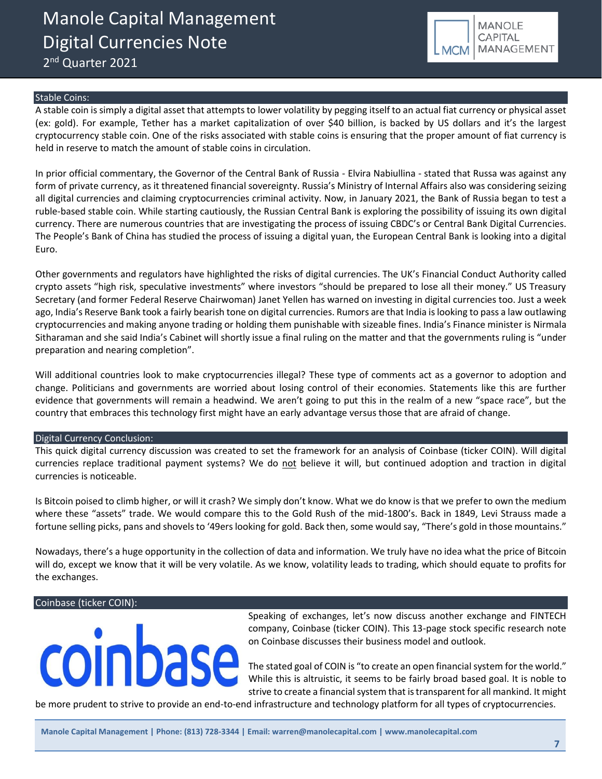Manole Capital Management Digital Currencies Note 2<sup>nd</sup> Quarter 2021



#### Stable Coins:

A stable coin is simply a digital asset that attempts to lower volatility by pegging itself to an actual fiat currency or physical asset (ex: gold). For example, Tether has a market capitalization of over \$40 billion, is backed by US dollars and it's the largest cryptocurrency stable coin. One of the risks associated with stable coins is ensuring that the proper amount of fiat currency is held in reserve to match the amount of stable coins in circulation.

In prior official commentary, the Governor of the Central Bank of Russia - Elvira Nabiullina - stated that Russa was against any form of private currency, as it threatened financial sovereignty. Russia's Ministry of Internal Affairs also was considering seizing all digital currencies and claiming cryptocurrencies criminal activity. Now, in January 2021, the Bank of Russia began to test a ruble-based stable coin. While starting cautiously, the Russian Central Bank is exploring the possibility of issuing its own digital currency. There are numerous countries that are investigating the process of issuing CBDC's or Central Bank Digital Currencies. The People's Bank of China has studied the process of issuing a digital yuan, the European Central Bank is looking into a digital Euro.

Other governments and regulators have highlighted the risks of digital currencies. The UK's Financial Conduct Authority called crypto assets "high risk, speculative investments" where investors "should be prepared to lose all their money." US Treasury Secretary (and former Federal Reserve Chairwoman) Janet Yellen has warned on investing in digital currencies too. Just a week ago, India's Reserve Bank took a fairly bearish tone on digital currencies. Rumors are that India is looking to pass a law outlawing cryptocurrencies and making anyone trading or holding them punishable with sizeable fines. India's Finance minister is Nirmala Sitharaman and she said India's Cabinet will shortly issue a final ruling on the matter and that the governments ruling is "under preparation and nearing completion".

Will additional countries look to make cryptocurrencies illegal? These type of comments act as a governor to adoption and change. Politicians and governments are worried about losing control of their economies. Statements like this are further evidence that governments will remain a headwind. We aren't going to put this in the realm of a new "space race", but the country that embraces this technology first might have an early advantage versus those that are afraid of change.

#### Digital Currency Conclusion:

This quick digital currency discussion was created to set the framework for an analysis of Coinbase (ticker COIN). Will digital currencies replace traditional payment systems? We do not believe it will, but continued adoption and traction in digital currencies is noticeable.

Is Bitcoin poised to climb higher, or will it crash? We simply don't know. What we do know is that we prefer to own the medium where these "assets" trade. We would compare this to the Gold Rush of the mid-1800's. Back in 1849, Levi Strauss made a fortune selling picks, pans and shovels to '49ers looking for gold. Back then, some would say, "There's gold in those mountains."

Nowadays, there's a huge opportunity in the collection of data and information. We truly have no idea what the price of Bitcoin will do, except we know that it will be very volatile. As we know, volatility leads to trading, which should equate to profits for the exchanges.

#### Coinbase (ticker COIN):



Speaking of exchanges, let's now discuss another exchange and FINTECH company, Coinbase (ticker COIN). This 13-page stock specific research note on Coinbase discusses their business model and outlook.

The stated goal of COIN is "to create an open financial system for the world." While this is altruistic, it seems to be fairly broad based goal. It is noble to strive to create a financial system that is transparent for all mankind. It might

be more prudent to strive to provide an end-to-end infrastructure and technology platform for all types of cryptocurrencies.

**Manole Capital Management | Phone: (813) 728-3344 | Email: warren@manolecapital.com | www.manolecapital.com**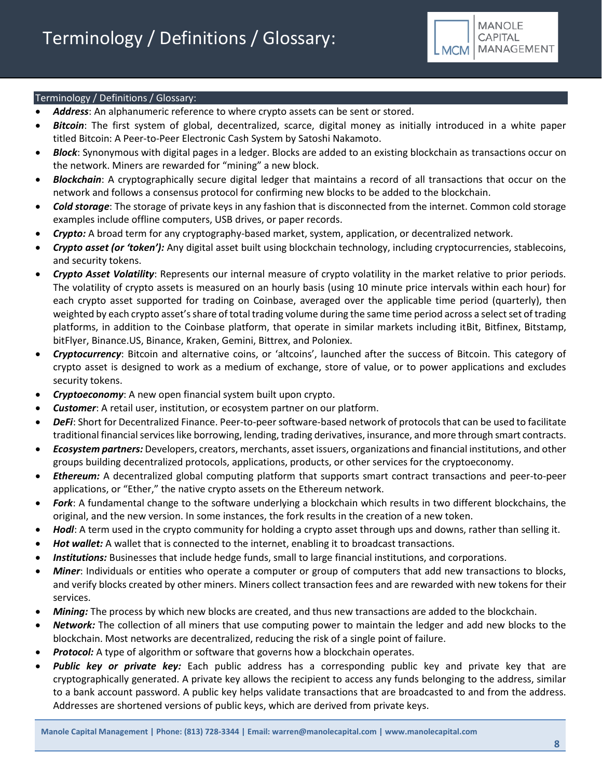

### Terminology / Definitions / Glossary:

- *Address*: An alphanumeric reference to where crypto assets can be sent or stored.
- *Bitcoin*: The first system of global, decentralized, scarce, digital money as initially introduced in a white paper titled Bitcoin: A Peer-to-Peer Electronic Cash System by Satoshi Nakamoto.
- *Block*: Synonymous with digital pages in a ledger. Blocks are added to an existing blockchain as transactions occur on the network. Miners are rewarded for "mining" a new block.
- *Blockchain*: A cryptographically secure digital ledger that maintains a record of all transactions that occur on the network and follows a consensus protocol for confirming new blocks to be added to the blockchain.
- *Cold storage*: The storage of private keys in any fashion that is disconnected from the internet. Common cold storage examples include offline computers, USB drives, or paper records.
- *Crypto:* A broad term for any cryptography-based market, system, application, or decentralized network.
- *Crypto asset (or 'token'):* Any digital asset built using blockchain technology, including cryptocurrencies, stablecoins, and security tokens.
- *Crypto Asset Volatility*: Represents our internal measure of crypto volatility in the market relative to prior periods. The volatility of crypto assets is measured on an hourly basis (using 10 minute price intervals within each hour) for each crypto asset supported for trading on Coinbase, averaged over the applicable time period (quarterly), then weighted by each crypto asset's share of total trading volume during the same time period across a select set of trading platforms, in addition to the Coinbase platform, that operate in similar markets including itBit, Bitfinex, Bitstamp, bitFlyer, Binance.US, Binance, Kraken, Gemini, Bittrex, and Poloniex.
- *Cryptocurrency*: Bitcoin and alternative coins, or 'altcoins', launched after the success of Bitcoin. This category of crypto asset is designed to work as a medium of exchange, store of value, or to power applications and excludes security tokens.
- *Cryptoeconomy*: A new open financial system built upon crypto.
- **Customer**: A retail user, institution, or ecosystem partner on our platform.
- *DeFi*: Short for Decentralized Finance. Peer-to-peer software-based network of protocols that can be used to facilitate traditional financial services like borrowing, lending, trading derivatives, insurance, and more through smart contracts.
- *Ecosystem partners:* Developers, creators, merchants, asset issuers, organizations and financial institutions, and other groups building decentralized protocols, applications, products, or other services for the cryptoeconomy.
- *Ethereum:* A decentralized global computing platform that supports smart contract transactions and peer-to-peer applications, or "Ether," the native crypto assets on the Ethereum network.
- *Fork*: A fundamental change to the software underlying a blockchain which results in two different blockchains, the original, and the new version. In some instances, the fork results in the creation of a new token.
- *Hodl*: A term used in the crypto community for holding a crypto asset through ups and downs, rather than selling it.
- Hot wallet: A wallet that is connected to the internet, enabling it to broadcast transactions.
- *Institutions:* Businesses that include hedge funds, small to large financial institutions, and corporations.
- *Miner*: Individuals or entities who operate a computer or group of computers that add new transactions to blocks, and verify blocks created by other miners. Miners collect transaction fees and are rewarded with new tokens for their services.
- *Mining:* The process by which new blocks are created, and thus new transactions are added to the blockchain.
- *Network:* The collection of all miners that use computing power to maintain the ledger and add new blocks to the blockchain. Most networks are decentralized, reducing the risk of a single point of failure.
- **Protocol:** A type of algorithm or software that governs how a blockchain operates.
- *Public key or private key:* Each public address has a corresponding public key and private key that are cryptographically generated. A private key allows the recipient to access any funds belonging to the address, similar to a bank account password. A public key helps validate transactions that are broadcasted to and from the address. Addresses are shortened versions of public keys, which are derived from private keys.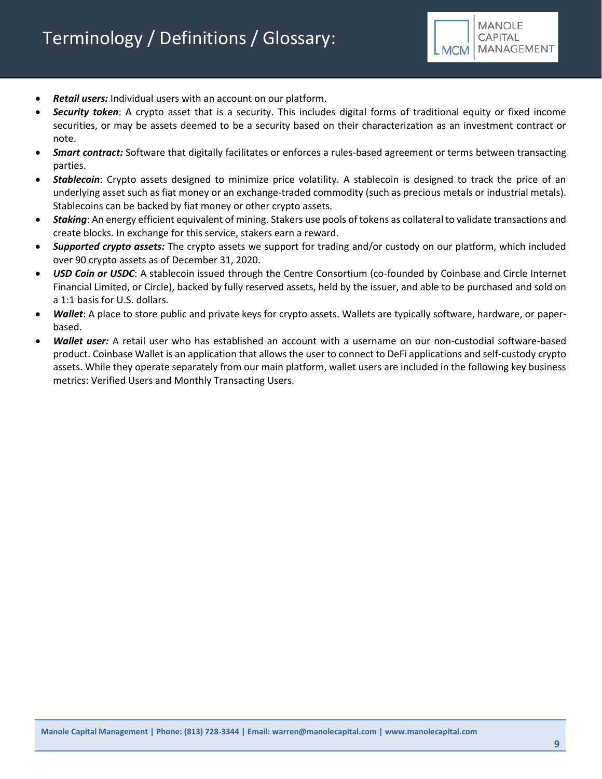

- *Retail users:* Individual users with an account on our platform.
- *Security token*: A crypto asset that is a security. This includes digital forms of traditional equity or fixed income securities, or may be assets deemed to be a security based on their characterization as an investment contract or note.
- *Smart contract:* Software that digitally facilitates or enforces a rules-based agreement or terms between transacting parties.
- *Stablecoin*: Crypto assets designed to minimize price volatility. A stablecoin is designed to track the price of an underlying asset such as fiat money or an exchange-traded commodity (such as precious metals or industrial metals). Stablecoins can be backed by fiat money or other crypto assets.
- *Staking*: An energy efficient equivalent of mining. Stakers use pools of tokens as collateral to validate transactions and create blocks. In exchange for this service, stakers earn a reward.
- *Supported crypto assets:* The crypto assets we support for trading and/or custody on our platform, which included over 90 crypto assets as of December 31, 2020.
- *USD Coin or USDC*: A stablecoin issued through the Centre Consortium (co-founded by Coinbase and Circle Internet Financial Limited, or Circle), backed by fully reserved assets, held by the issuer, and able to be purchased and sold on a 1:1 basis for U.S. dollars.
- *Wallet*: A place to store public and private keys for crypto assets. Wallets are typically software, hardware, or paperbased.
- *Wallet user:* A retail user who has established an account with a username on our non-custodial software-based product. Coinbase Wallet is an application that allows the user to connect to DeFi applications and self-custody crypto assets. While they operate separately from our main platform, wallet users are included in the following key business metrics: Verified Users and Monthly Transacting Users.